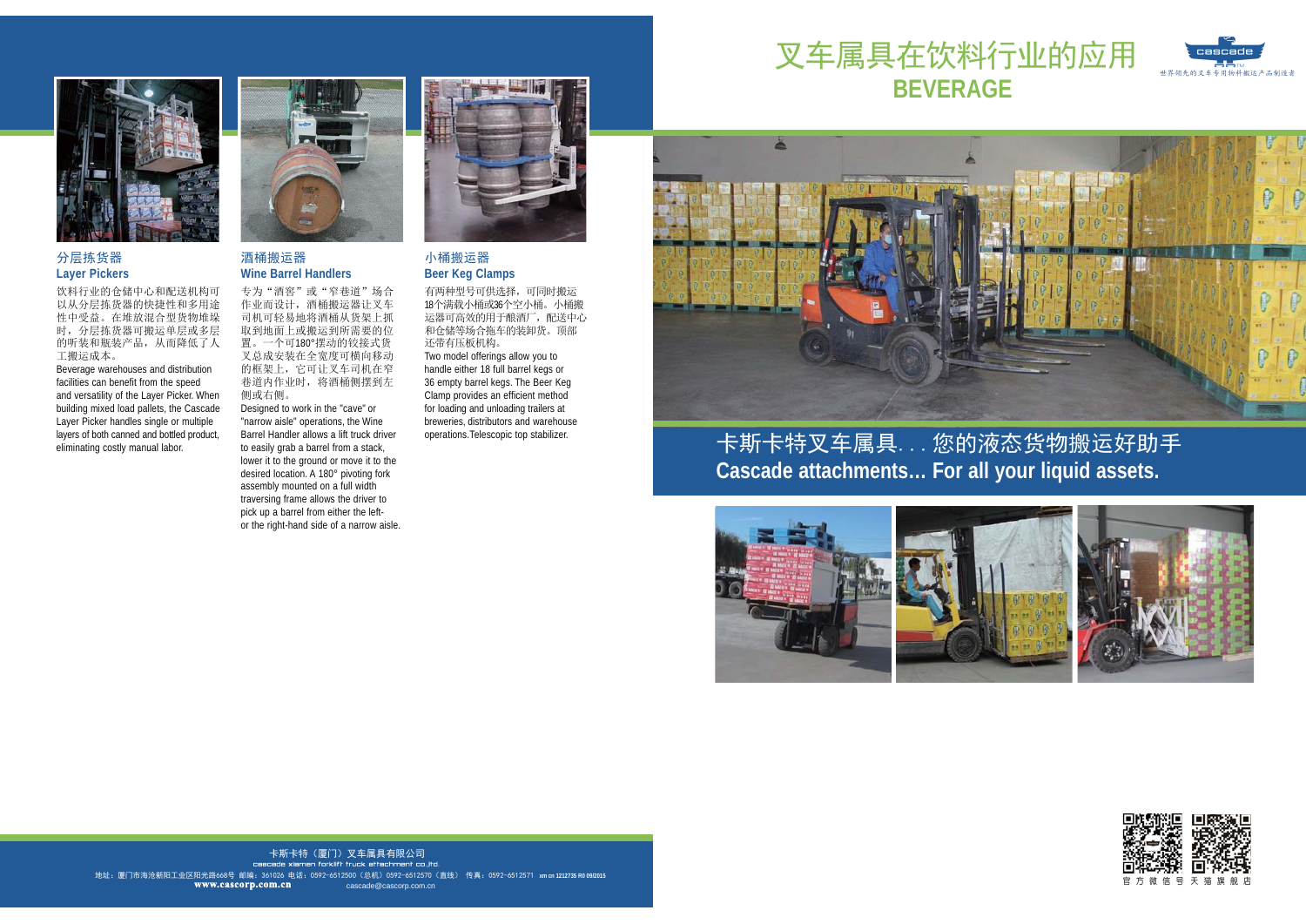

# 分层拣货器 **Layer Pickers**

饮料行业的仓储中心和配送机构可<br>以从分层拣货器的快捷性和多用途 性中受益。在堆放混合型货物堆垛 时, 分层拣货器可搬运单层或多层 的听装和瓶装产品, 从而降低了人 工搬运成本。

 Beverage warehouses and distribution facilities can benefit from the speed and versatility of the Layer Picker. When building mixed load pallets, the Cascade Layer Picker handles single or multiple layers of both canned and bottled product, eliminating costly manual labor.



#### 洒桶搬运器 **Wine Barrel Handlers**

专为 "酒窖" 或 "窄巷道" 场合 作业而设计, 酒桶搬运器让叉车 司机可轻易地将酒桶从货架上抓 取到地面上或搬运到所需要的位 置。一个可180°摆动的铰接式货 叉总成安装在全宽度可横向移动 的框架上, 它可让叉车司机在窄 巷道内作业时, 将酒桶侧摆到左 侧或右侧。

 Designed to work in the "cave" or "narrow aisle" operations, the Wine Barrel Handler allows a lift truck driver to easily grab a barrel from a stack, lower it to the ground or move it to the desired location. A 180° pivoting fork assembly mounted on a full width traversing frame allows the driver to pick up a barrel from either the leftor the right-hand side of a narrow aisle.



#### 小桶搬运器 **Beer Keg Clamps**

有两种型号可供选择,可同时搬运 18个满载小桶或36个空小桶。小桶搬 运器可高效的用于酿酒厂,配送中心 和仓储等场合拖车的装卸货。顶部 还带有压板机构。 Two model offerings allow you to handle either 18 full barrel kegs or 36 empty barrel kegs. The Beer Keg Clamp provides an efficient method for loading and unloading trailers at breweries, distributors and warehouse operations.Telescopic top stabilizer.

# 叉车属具在饮料行业的应用 **BEVERAGECascade**<br>Cascade<br>Com ь⮂亼ݾⲺ䖜щ⭞⢟ᯏᩢ䘆ӝ䙖㘻



卡斯卡特叉车属具...您的液态货物搬运好助手 **Cascade attachments… For all your liquid assets.**





地址:厦门市海沧新阳工业区阳光路668号 邮编:361026 电话:0592-6512500(总机)0592-6512570(直线) 传真:0592-6512571 xmcn1212735 R009/2015 卡斯卡特(厦门) 叉车属具有限公司 cascade xiamen forklift truck attachment co...ltd. cascade@cascorp.com.cn